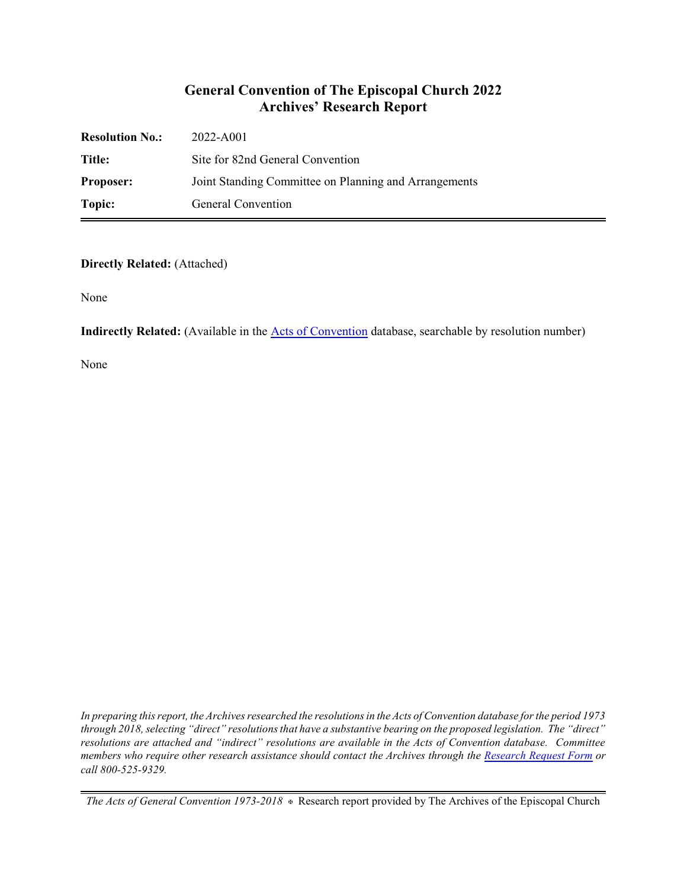# **General Convention of The Episcopal Church 2022 Archives' Research Report**

| <b>Resolution No.:</b> | 2022-A001                                             |
|------------------------|-------------------------------------------------------|
| Title:                 | Site for 82nd General Convention                      |
| <b>Proposer:</b>       | Joint Standing Committee on Planning and Arrangements |
| Topic:                 | General Convention                                    |

#### **Directly Related:** (Attached)

None

**Indirectly Related:** (Available in the **Acts of Convention** database, searchable by resolution number)

None

*In preparing this report, the Archives researched the resolutions in the Acts of Convention database for the period 1973 through 2018, selecting "direct" resolutions that have a substantive bearing on the proposed legislation. The "direct" resolutions are attached and "indirect" resolutions are available in the Acts of Convention database. Committee members who require other research assistance should contact the Archives through the Research [Request Form](https://www.episcopalarchives.org/contact/research-request-form) or call 800-525-9329.*

*The Acts of General Convention 1973-2018*  $*$  Research report provided by The Archives of the Episcopal Church